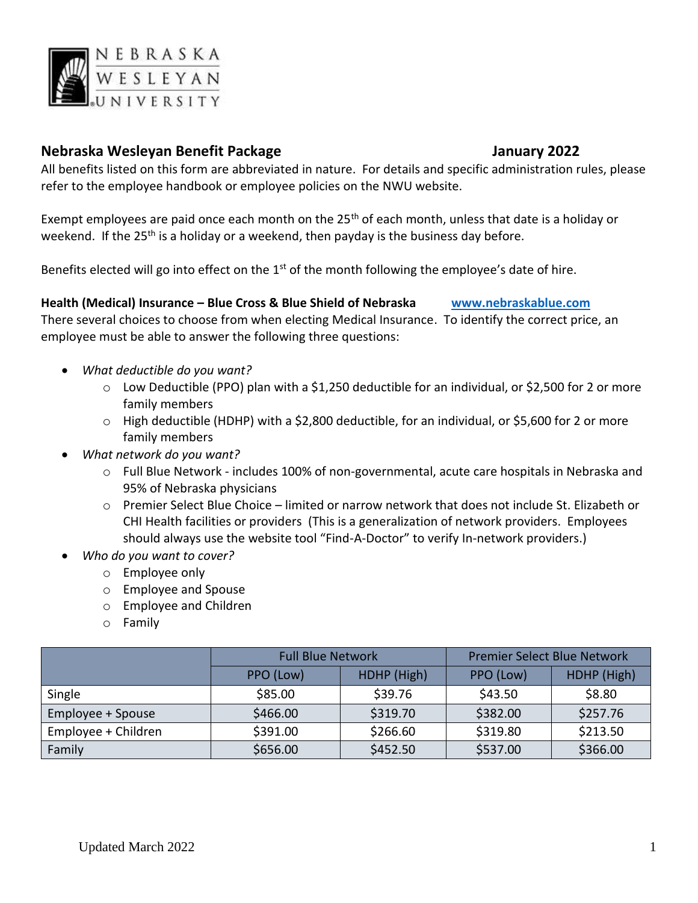

# **Nebraska Wesleyan Benefit Package January 2022**

All benefits listed on this form are abbreviated in nature. For details and specific administration rules, please refer to the employee handbook or employee policies on the NWU website.

Exempt employees are paid once each month on the 25<sup>th</sup> of each month, unless that date is a holiday or weekend. If the 25<sup>th</sup> is a holiday or a weekend, then payday is the business day before.

Benefits elected will go into effect on the  $1<sup>st</sup>$  of the month following the employee's date of hire.

**Health (Medical) Insurance – Blue Cross & Blue Shield of Nebraska [www.nebraskablue.com](http://www.nebraskablue.com/)**  There several choices to choose from when electing Medical Insurance. To identify the correct price, an employee must be able to answer the following three questions:

- *What deductible do you want?* 
	- o Low Deductible (PPO) plan with a \$1,250 deductible for an individual, or \$2,500 for 2 or more family members
	- $\circ$  High deductible (HDHP) with a \$2,800 deductible, for an individual, or \$5,600 for 2 or more family members

# • *What network do you want?*

- o Full Blue Network includes 100% of non-governmental, acute care hospitals in Nebraska and 95% of Nebraska physicians
- o Premier Select Blue Choice limited or narrow network that does not include St. Elizabeth or CHI Health facilities or providers (This is a generalization of network providers. Employees should always use the website tool "Find-A-Doctor" to verify In-network providers.)
- *Who do you want to cover?*
	- o Employee only
	- o Employee and Spouse
	- o Employee and Children
	- o Family

|                     | <b>Full Blue Network</b> |             | <b>Premier Select Blue Network</b> |             |
|---------------------|--------------------------|-------------|------------------------------------|-------------|
|                     | PPO (Low)                | HDHP (High) | PPO (Low)                          | HDHP (High) |
| Single              | \$85.00                  | \$39.76     | \$43.50                            | \$8.80      |
| Employee + Spouse   | \$466.00                 | \$319.70    | \$382.00                           | \$257.76    |
| Employee + Children | \$391.00                 | \$266.60    | \$319.80                           | \$213.50    |
| Family              | \$656.00                 | \$452.50    | \$537.00                           | \$366.00    |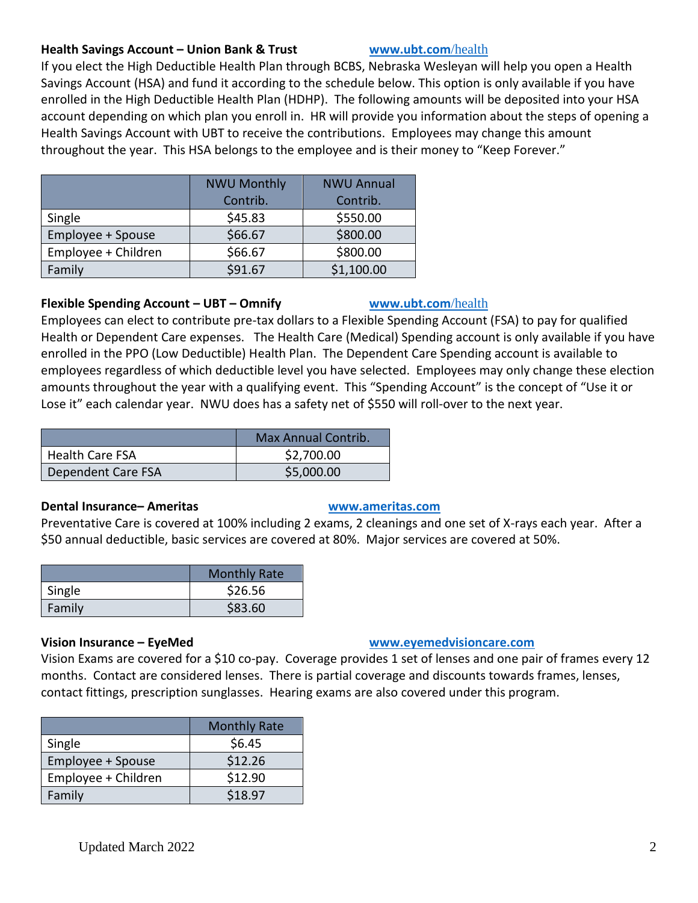#### **Health Savings Account – Union Bank & Trust [www.ubt.com](http://www.ubt.com/)**/health

If you elect the High Deductible Health Plan through BCBS, Nebraska Wesleyan will help you open a Health Savings Account (HSA) and fund it according to the schedule below. This option is only available if you have enrolled in the High Deductible Health Plan (HDHP). The following amounts will be deposited into your HSA account depending on which plan you enroll in. HR will provide you information about the steps of opening a Health Savings Account with UBT to receive the contributions. Employees may change this amount throughout the year. This HSA belongs to the employee and is their money to "Keep Forever."

|                     | <b>NWU Monthly</b> | <b>NWU Annual</b> |
|---------------------|--------------------|-------------------|
|                     | Contrib.           | Contrib.          |
| Single              | \$45.83            | \$550.00          |
| Employee + Spouse   | \$66.67            | \$800.00          |
| Employee + Children | \$66.67            | \$800.00          |
| Family              | \$91.67            | \$1,100.00        |

## **Flexible Spending Account – UBT – Omnify [www.ubt.com](http://www.ubt.com/)**/health

Employees can elect to contribute pre-tax dollars to a Flexible Spending Account (FSA) to pay for qualified Health or Dependent Care expenses. The Health Care (Medical) Spending account is only available if you have enrolled in the PPO (Low Deductible) Health Plan. The Dependent Care Spending account is available to employees regardless of which deductible level you have selected. Employees may only change these election amounts throughout the year with a qualifying event. This "Spending Account" is the concept of "Use it or Lose it" each calendar year. NWU does has a safety net of \$550 will roll-over to the next year.

|                           | <b>Max Annual Contrib.</b> |
|---------------------------|----------------------------|
| <b>Health Care FSA</b>    | \$2,700.00                 |
| <b>Dependent Care FSA</b> | \$5,000.00                 |

### **Dental Insurance– Ameritas [www.ameritas.com](http://www.ameritas.com/)**

Preventative Care is covered at 100% including 2 exams, 2 cleanings and one set of X-rays each year. After a \$50 annual deductible, basic services are covered at 80%. Major services are covered at 50%.

|        | <b>Monthly Rate</b> |
|--------|---------------------|
| Single | \$26.56             |
| Family | \$83.60             |

# **Vision Insurance – EyeMed [www.eyemedvisioncare.com](http://www.eyemedvisioncare.com/)**

Vision Exams are covered for a \$10 co-pay. Coverage provides 1 set of lenses and one pair of frames every 12 months. Contact are considered lenses. There is partial coverage and discounts towards frames, lenses, contact fittings, prescription sunglasses. Hearing exams are also covered under this program.

|                     | <b>Monthly Rate</b> |
|---------------------|---------------------|
| Single              | \$6.45              |
| Employee + Spouse   | \$12.26             |
| Employee + Children | \$12.90             |
| Family              | \$18.97             |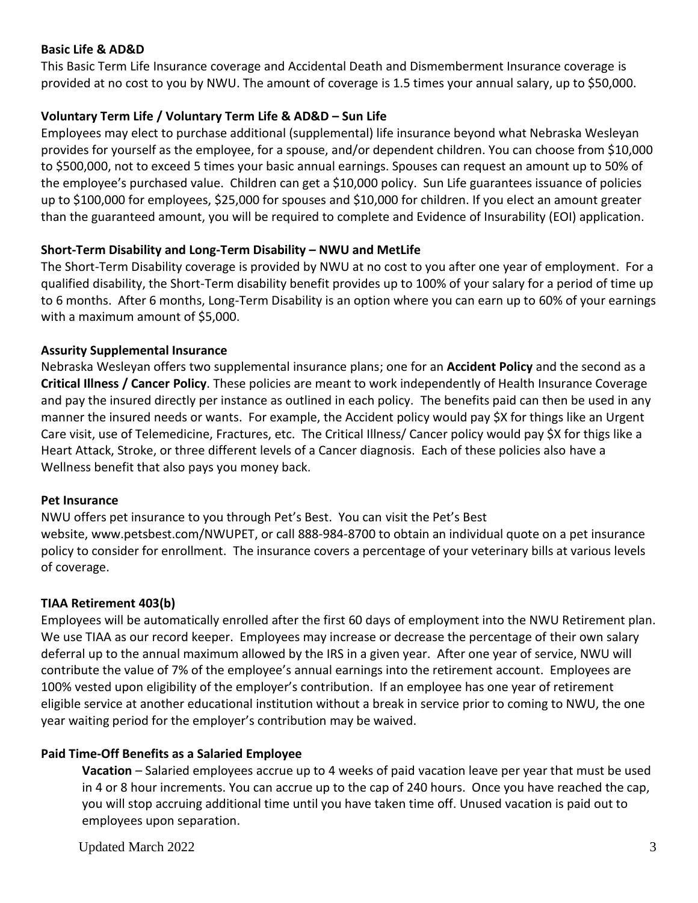## **Basic Life & AD&D**

This Basic Term Life Insurance coverage and Accidental Death and Dismemberment Insurance coverage is provided at no cost to you by NWU. The amount of coverage is 1.5 times your annual salary, up to \$50,000.

# **Voluntary Term Life / Voluntary Term Life & AD&D – Sun Life**

Employees may elect to purchase additional (supplemental) life insurance beyond what Nebraska Wesleyan provides for yourself as the employee, for a spouse, and/or dependent children. You can choose from \$10,000 to \$500,000, not to exceed 5 times your basic annual earnings. Spouses can request an amount up to 50% of the employee's purchased value. Children can get a \$10,000 policy. Sun Life guarantees issuance of policies up to \$100,000 for employees, \$25,000 for spouses and \$10,000 for children. If you elect an amount greater than the guaranteed amount, you will be required to complete and Evidence of Insurability (EOI) application.

# **Short-Term Disability and Long-Term Disability – NWU and MetLife**

The Short-Term Disability coverage is provided by NWU at no cost to you after one year of employment. For a qualified disability, the Short-Term disability benefit provides up to 100% of your salary for a period of time up to 6 months. After 6 months, Long-Term Disability is an option where you can earn up to 60% of your earnings with a maximum amount of \$5,000.

## **Assurity Supplemental Insurance**

Nebraska Wesleyan offers two supplemental insurance plans; one for an **Accident Policy** and the second as a **Critical Illness / Cancer Policy**. These policies are meant to work independently of Health Insurance Coverage and pay the insured directly per instance as outlined in each policy. The benefits paid can then be used in any manner the insured needs or wants. For example, the Accident policy would pay \$X for things like an Urgent Care visit, use of Telemedicine, Fractures, etc. The Critical Illness/ Cancer policy would pay \$X for thigs like a Heart Attack, Stroke, or three different levels of a Cancer diagnosis. Each of these policies also have a Wellness benefit that also pays you money back.

### **Pet Insurance**

NWU offers pet insurance to you through Pet's Best. You can visit the Pet's Best website, [www.petsbest.com/NWUPET,](http://www.petsbest.com/NWUPET) or call 888-984-8700 to obtain an individual quote on a pet insurance policy to consider for enrollment. The insurance covers a percentage of your veterinary bills at various levels of coverage.

# **TIAA Retirement 403(b)**

Employees will be automatically enrolled after the first 60 days of employment into the NWU Retirement plan. We use TIAA as our record keeper. Employees may increase or decrease the percentage of their own salary deferral up to the annual maximum allowed by the IRS in a given year. After one year of service, NWU will contribute the value of 7% of the employee's annual earnings into the retirement account. Employees are 100% vested upon eligibility of the employer's contribution. If an employee has one year of retirement eligible service at another educational institution without a break in service prior to coming to NWU, the one year waiting period for the employer's contribution may be waived.

# **Paid Time-Off Benefits as a Salaried Employee**

**Vacation** – Salaried employees accrue up to 4 weeks of paid vacation leave per year that must be used in 4 or 8 hour increments. You can accrue up to the cap of 240 hours. Once you have reached the cap, you will stop accruing additional time until you have taken time off. Unused vacation is paid out to employees upon separation.

Updated March 2022 3